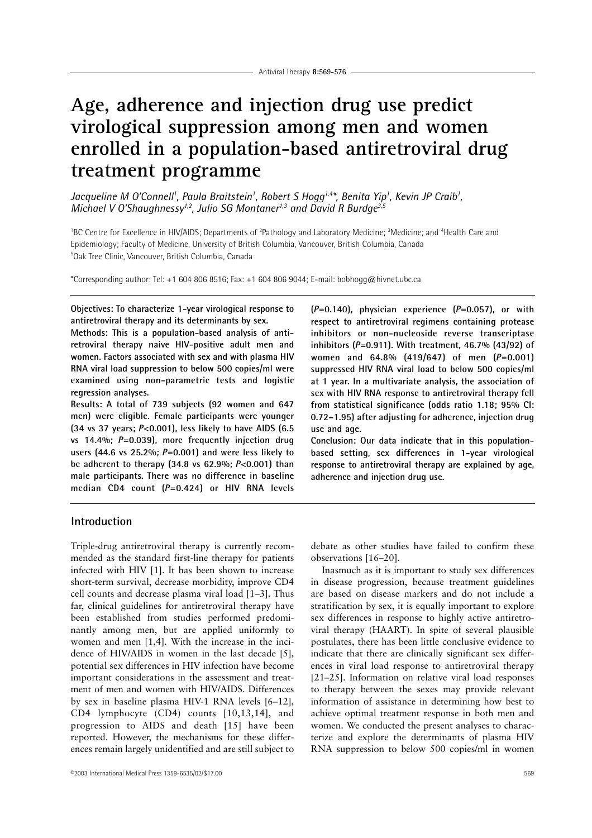# **Age, adherence and injection drug use predict virological suppression among men and women enrolled in a population-based antiretroviral drug treatment programme**

*Jacqueline M O'Connell1 , Paula Braitstein1 , Robert S Hogg1,4\*, Benita Yip1 , Kevin JP Craib1 , Michael V O'Shaughnessy<sup>1,2</sup>, Julio SG Montaner<sup>1,3</sup> and David R Burdge<sup>3,5</sup>* 

<sup>1</sup>BC Centre for Excellence in HIV/AIDS; Departments of <sup>2</sup>Pathology and Laboratory Medicine; <sup>3</sup>Medicine; and <sup>4</sup>Health Care and Epidemiology; Faculty of Medicine, University of British Columbia, Vancouver, British Columbia, Canada 5 Oak Tree Clinic, Vancouver, British Columbia, Canada

\*Corresponding author: Tel: +1 604 806 8516; Fax: +1 604 806 9044; E-mail: bobhogg@hivnet.ubc.ca

**Objectives: To characterize 1-year virological response to antiretroviral therapy and its determinants by sex.**

**Methods: This is a population-based analysis of antiretroviral therapy naive HIV-positive adult men and women. Factors associated with sex and with plasma HIV RNA viral load suppression to below 500 copies/ml were examined using non-parametric tests and logistic regression analyses.**

**Results: A total of 739 subjects (92 women and 647 men) were eligible. Female participants were younger (34 vs 37 years;** *P***<0.001), less likely to have AIDS (6.5 vs 14.4%;** *P***=0.039), more frequently injection drug users (44.6 vs 25.2%;** *P***=0.001) and were less likely to be adherent to therapy (34.8 vs 62.9%;** *P***<0.001) than male participants. There was no difference in baseline median CD4 count (***P***=0.424) or HIV RNA levels**

**(***P***=0.140), physician experience (***P***=0.057), or with respect to antiretroviral regimens containing protease inhibitors or non-nucleoside reverse transcriptase inhibitors (***P***=0.911). With treatment, 46.7% (43/92) of women and 64.8% (419/647) of men (***P***=0.001) suppressed HIV RNA viral load to below 500 copies/ml at 1 year. In a multivariate analysis, the association of sex with HIV RNA response to antiretroviral therapy fell from statistical significance (odds ratio 1.18; 95% CI: 0.72–1.95) after adjusting for adherence, injection drug use and age.**

**Conclusion: Our data indicate that in this populationbased setting, sex differences in 1-year virological response to antiretroviral therapy are explained by age, adherence and injection drug use.**

# **Introduction**

Triple-drug antiretroviral therapy is currently recommended as the standard first-line therapy for patients infected with HIV [1]. It has been shown to increase short-term survival, decrease morbidity, improve CD4 cell counts and decrease plasma viral load [1–3]. Thus far, clinical guidelines for antiretroviral therapy have been established from studies performed predominantly among men, but are applied uniformly to women and men [1,4]. With the increase in the incidence of HIV/AIDS in women in the last decade [5], potential sex differences in HIV infection have become important considerations in the assessment and treatment of men and women with HIV/AIDS. Differences by sex in baseline plasma HIV-1 RNA levels [6–12], CD4 lymphocyte (CD4) counts [10,13,14], and progression to AIDS and death [15] have been reported. However, the mechanisms for these differences remain largely unidentified and are still subject to debate as other studies have failed to confirm these observations [16–20].

Inasmuch as it is important to study sex differences in disease progression, because treatment guidelines are based on disease markers and do not include a stratification by sex, it is equally important to explore sex differences in response to highly active antiretroviral therapy (HAART). In spite of several plausible postulates, there has been little conclusive evidence to indicate that there are clinically significant sex differences in viral load response to antiretroviral therapy [21–25]. Information on relative viral load responses to therapy between the sexes may provide relevant information of assistance in determining how best to achieve optimal treatment response in both men and women. We conducted the present analyses to characterize and explore the determinants of plasma HIV RNA suppression to below 500 copies/ml in women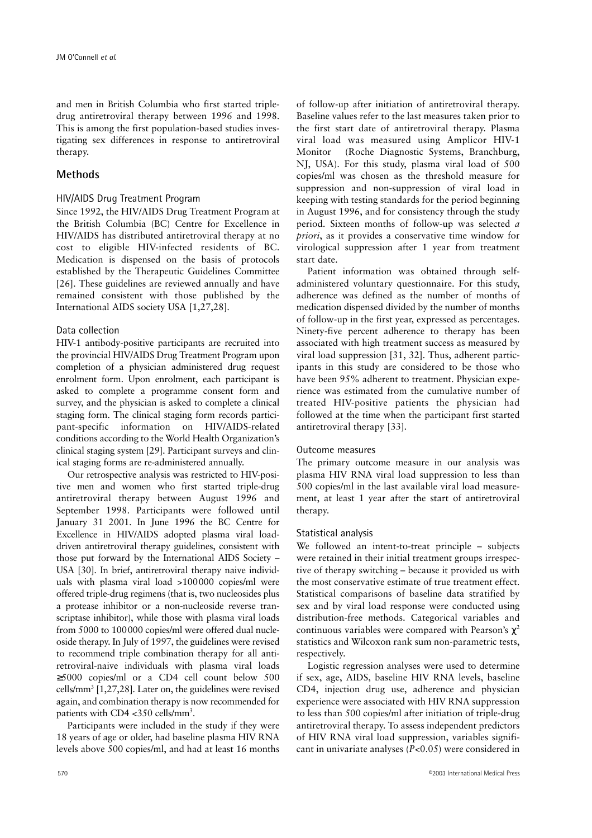and men in British Columbia who first started tripledrug antiretroviral therapy between 1996 and 1998. This is among the first population-based studies investigating sex differences in response to antiretroviral therapy.

# **Methods**

## HIV/AIDS Drug Treatment Program

Since 1992, the HIV/AIDS Drug Treatment Program at the British Columbia (BC) Centre for Excellence in HIV/AIDS has distributed antiretroviral therapy at no cost to eligible HIV-infected residents of BC. Medication is dispensed on the basis of protocols established by the Therapeutic Guidelines Committee [26]. These guidelines are reviewed annually and have remained consistent with those published by the International AIDS society USA [1,27,28].

#### Data collection

HIV-1 antibody-positive participants are recruited into the provincial HIV/AIDS Drug Treatment Program upon completion of a physician administered drug request enrolment form. Upon enrolment, each participant is asked to complete a programme consent form and survey, and the physician is asked to complete a clinical staging form. The clinical staging form records participant-specific information on HIV/AIDS-related conditions according to the World Health Organization's clinical staging system [29]. Participant surveys and clinical staging forms are re-administered annually.

Our retrospective analysis was restricted to HIV-positive men and women who first started triple-drug antiretroviral therapy between August 1996 and September 1998. Participants were followed until January 31 2001. In June 1996 the BC Centre for Excellence in HIV/AIDS adopted plasma viral loaddriven antiretroviral therapy guidelines, consistent with those put forward by the International AIDS Society – USA [30]. In brief, antiretroviral therapy naive individuals with plasma viral load >100000 copies/ml were offered triple-drug regimens (that is, two nucleosides plus a protease inhibitor or a non-nucleoside reverse transcriptase inhibitor), while those with plasma viral loads from 5000 to 100000 copies/ml were offered dual nucleoside therapy. In July of 1997, the guidelines were revised to recommend triple combination therapy for all antiretroviral-naive individuals with plasma viral loads ≥5000 copies/ml or a CD4 cell count below 500 cells/mm3 [1,27,28]. Later on, the guidelines were revised again, and combination therapy is now recommended for patients with CD4 <350 cells/mm<sup>3</sup>.

Participants were included in the study if they were 18 years of age or older, had baseline plasma HIV RNA levels above 500 copies/ml, and had at least 16 months of follow-up after initiation of antiretroviral therapy. Baseline values refer to the last measures taken prior to the first start date of antiretroviral therapy. Plasma viral load was measured using Amplicor HIV-1 Monitor<sup>™</sup> (Roche Diagnostic Systems, Branchburg, NJ, USA). For this study, plasma viral load of 500 copies/ml was chosen as the threshold measure for suppression and non-suppression of viral load in keeping with testing standards for the period beginning in August 1996, and for consistency through the study period. Sixteen months of follow-up was selected *a priori*, as it provides a conservative time window for virological suppression after 1 year from treatment start date.

Patient information was obtained through selfadministered voluntary questionnaire. For this study, adherence was defined as the number of months of medication dispensed divided by the number of months of follow-up in the first year, expressed as percentages. Ninety-five percent adherence to therapy has been associated with high treatment success as measured by viral load suppression [31, 32]. Thus, adherent participants in this study are considered to be those who have been 95% adherent to treatment. Physician experience was estimated from the cumulative number of treated HIV-positive patients the physician had followed at the time when the participant first started antiretroviral therapy [33].

#### Outcome measures

The primary outcome measure in our analysis was plasma HIV RNA viral load suppression to less than 500 copies/ml in the last available viral load measurement, at least 1 year after the start of antiretroviral therapy.

#### Statistical analysis

We followed an intent-to-treat principle – subjects were retained in their initial treatment groups irrespective of therapy switching – because it provided us with the most conservative estimate of true treatment effect. Statistical comparisons of baseline data stratified by sex and by viral load response were conducted using distribution-free methods. Categorical variables and continuous variables were compared with Pearson's  $\chi^2$ statistics and Wilcoxon rank sum non-parametric tests, respectively.

Logistic regression analyses were used to determine if sex, age, AIDS, baseline HIV RNA levels, baseline CD4, injection drug use, adherence and physician experience were associated with HIV RNA suppression to less than 500 copies/ml after initiation of triple-drug antiretroviral therapy. To assess independent predictors of HIV RNA viral load suppression, variables significant in univariate analyses (*P*<0.05) were considered in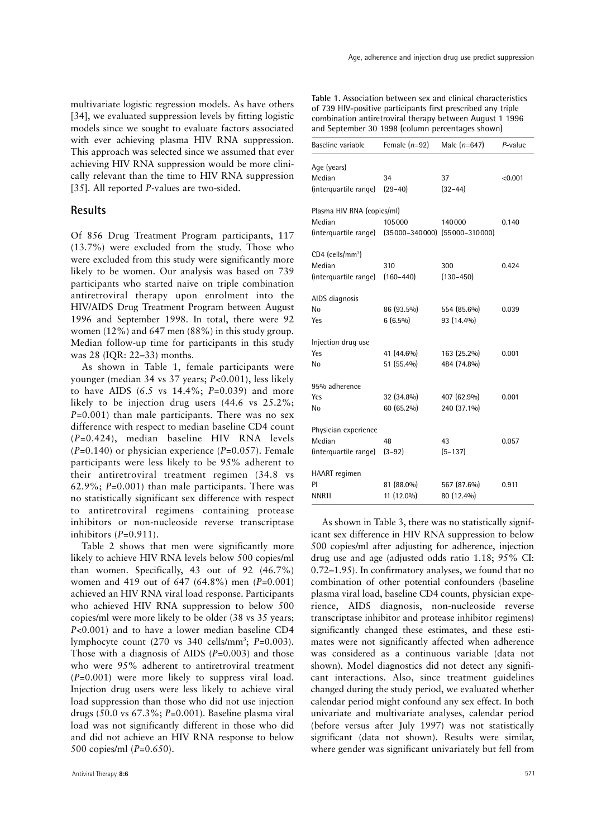multivariate logistic regression models. As have others [34], we evaluated suppression levels by fitting logistic models since we sought to evaluate factors associated with ever achieving plasma HIV RNA suppression. This approach was selected since we assumed that ever achieving HIV RNA suppression would be more clinically relevant than the time to HIV RNA suppression [35]. All reported *P*-values are two-sided.

## **Results**

Of 856 Drug Treatment Program participants, 117 (13.7%) were excluded from the study. Those who were excluded from this study were significantly more likely to be women. Our analysis was based on 739 participants who started naive on triple combination antiretroviral therapy upon enrolment into the HIV/AIDS Drug Treatment Program between August 1996 and September 1998. In total, there were 92 women (12%) and 647 men (88%) in this study group. Median follow-up time for participants in this study was 28 (IQR: 22–33) months.

As shown in Table 1, female participants were younger (median 34 vs 37 years; *P*<0.001), less likely to have AIDS (6.5 vs 14.4%; *P*=0.039) and more likely to be injection drug users (44.6 vs 25.2%; *P*=0.001) than male participants. There was no sex difference with respect to median baseline CD4 count (*P*=0.424), median baseline HIV RNA levels (*P*=0.140) or physician experience (*P*=0.057). Female participants were less likely to be 95% adherent to their antiretroviral treatment regimen (34.8 vs 62.9%; *P*=0.001) than male participants. There was no statistically significant sex difference with respect to antiretroviral regimens containing protease inhibitors or non-nucleoside reverse transcriptase inhibitors (*P*=0.911).

Table 2 shows that men were significantly more likely to achieve HIV RNA levels below 500 copies/ml than women. Specifically, 43 out of 92 (46.7%) women and 419 out of 647 (64.8%) men (*P*=0.001) achieved an HIV RNA viral load response. Participants who achieved HIV RNA suppression to below 500 copies/ml were more likely to be older (38 vs 35 years; *P*<0.001) and to have a lower median baseline CD4 lymphocyte count (270 vs 340 cells/mm<sup>3</sup>; P=0.003). Those with a diagnosis of AIDS (*P*=0.003) and those who were 95% adherent to antiretroviral treatment (*P*=0.001) were more likely to suppress viral load. Injection drug users were less likely to achieve viral load suppression than those who did not use injection drugs (50.0 vs 67.3%; *P*=0.001). Baseline plasma viral load was not significantly different in those who did and did not achieve an HIV RNA response to below 500 copies/ml (*P*=0.650).

**Table 1.** Association between sex and clinical characteristics of 739 HIV-positive participants first prescribed any triple combination antiretroviral therapy between August 1 1996 and September 30 1998 (column percentages shown)

| Baseline variable                                                 | Female $(n=92)$                             | Male $(n=647)$             | P-value |
|-------------------------------------------------------------------|---------------------------------------------|----------------------------|---------|
| Age (years)<br>Median<br>(interquartile range)                    | 34<br>$(29 - 40)$                           | 37<br>$(32 - 44)$          | < 0.001 |
| Plasma HIV RNA (copies/ml)<br>Median<br>(interquartile range)     | 105000<br>$(35000-340000)$ $(55000-310000)$ | 140000                     | 0.140   |
| $CD4$ (cells/mm <sup>3</sup> )<br>Median<br>(interquartile range) | 310<br>$(160 - 440)$                        | 300<br>$(130 - 450)$       | 0.424   |
| AIDS diagnosis<br>No<br>Yes                                       | 86 (93.5%)<br>$6(6.5\%)$                    | 554 (85.6%)<br>93 (14.4%)  | 0.039   |
| Injection drug use<br>Yes<br>No                                   | 41 (44.6%)<br>51 (55.4%)                    | 163 (25.2%)<br>484 (74.8%) | 0.001   |
| 95% adherence<br>Yes<br>No                                        | 32 (34.8%)<br>60 (65.2%)                    | 407 (62.9%)<br>240 (37.1%) | 0.001   |
| Physician experience<br>Median<br>(interquartile range)           | 48<br>$(3-92)$                              | 43<br>$(5-137)$            | 0.057   |
| HAART regimen<br>PI<br><b>NNRTI</b>                               | 81 (88.0%)<br>11 (12.0%)                    | 567 (87.6%)<br>80 (12.4%)  | 0.911   |

As shown in Table 3, there was no statistically significant sex difference in HIV RNA suppression to below 500 copies/ml after adjusting for adherence, injection drug use and age (adjusted odds ratio 1.18; 95% CI: 0.72–1.95). In confirmatory analyses, we found that no combination of other potential confounders (baseline plasma viral load, baseline CD4 counts, physician experience, AIDS diagnosis, non-nucleoside reverse transcriptase inhibitor and protease inhibitor regimens) significantly changed these estimates, and these estimates were not significantly affected when adherence was considered as a continuous variable (data not shown). Model diagnostics did not detect any significant interactions. Also, since treatment guidelines changed during the study period, we evaluated whether calendar period might confound any sex effect. In both univariate and multivariate analyses, calendar period (before versus after July 1997) was not statistically significant (data not shown). Results were similar, where gender was significant univariately but fell from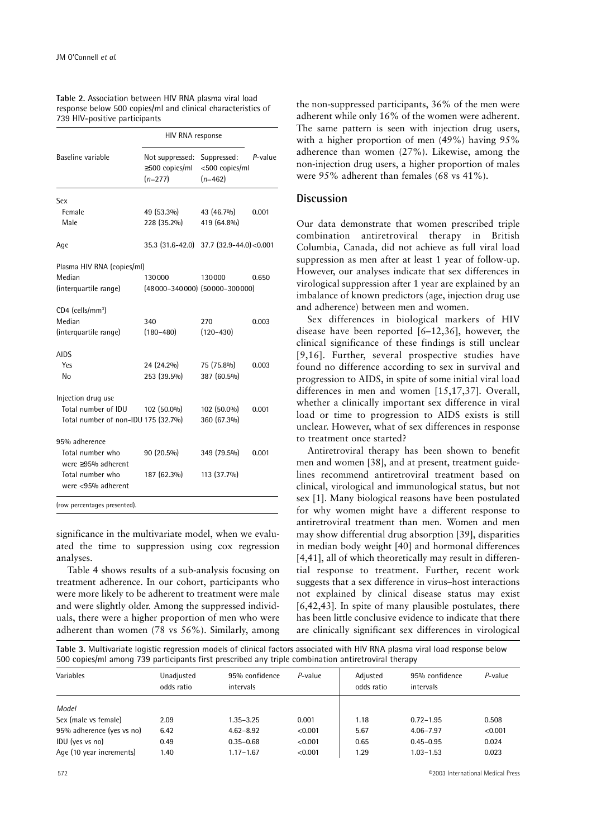|                                     | HIV RNA response                                     |                                            |         |
|-------------------------------------|------------------------------------------------------|--------------------------------------------|---------|
| Baseline variable                   | Not suppressed:<br>$\geq$ 500 copies/ml<br>$(n=277)$ | Suppressed:<br><500 copies/ml<br>$(n=462)$ | P-value |
| Sex                                 |                                                      |                                            |         |
| Female                              | 49 (53.3%)                                           | 43 (46.7%)                                 | 0.001   |
| Male                                | 228 (35.2%)                                          | 419 (64.8%)                                |         |
| Age                                 | 35.3 (31.6-42.0)                                     | $37.7$ $(32.9 - 44.0) < 0.001$             |         |
| Plasma HIV RNA (copies/ml)          |                                                      |                                            |         |
| Median                              | 130000                                               | 130000                                     | 0.650   |
| (interquartile range)               | $(48000-340000)$ $(50000-300000)$                    |                                            |         |
| CD4 (cells/mm <sup>3</sup> )        |                                                      |                                            |         |
| Median                              | 340                                                  | 270                                        | 0.003   |
| (interquartile range)               | $(180 - 480)$                                        | $(120 - 430)$                              |         |
| <b>AIDS</b>                         |                                                      |                                            |         |
| Yes                                 | 24 (24.2%)                                           | 75 (75.8%)                                 | 0.003   |
| No                                  | 253 (39.5%)                                          | 387 (60.5%)                                |         |
| Injection drug use                  |                                                      |                                            |         |
| Total number of IDU                 | 102 (50.0%)                                          | 102 (50.0%)                                | 0.001   |
| Total number of non-IDU 175 (32.7%) |                                                      | 360 (67.3%)                                |         |
| 95% adherence                       |                                                      |                                            |         |
| Total number who                    | 90 (20.5%)                                           | 349 (79.5%)                                | 0.001   |
| were $\geq$ 95% adherent            |                                                      |                                            |         |
| Total number who                    | 187 (62.3%)                                          | 113 (37.7%)                                |         |
| were <95% adherent                  |                                                      |                                            |         |
| (row percentages presented).        |                                                      |                                            |         |

**Table 2.** Association between HIV RNA plasma viral load response below 500 copies/ml and clinical characteristics of 739 HIV-positive participants

significance in the multivariate model, when we evaluated the time to suppression using cox regression analyses.

Table 4 shows results of a sub-analysis focusing on treatment adherence. In our cohort, participants who were more likely to be adherent to treatment were male and were slightly older. Among the suppressed individuals, there were a higher proportion of men who were adherent than women (78 vs 56%). Similarly, among the non-suppressed participants, 36% of the men were adherent while only 16% of the women were adherent. The same pattern is seen with injection drug users, with a higher proportion of men (49%) having 95% adherence than women (27%). Likewise, among the non-injection drug users, a higher proportion of males were 95% adherent than females (68 vs 41%).

## **Discussion**

Our data demonstrate that women prescribed triple combination antiretroviral therapy in British Columbia, Canada, did not achieve as full viral load suppression as men after at least 1 year of follow-up. However, our analyses indicate that sex differences in virological suppression after 1 year are explained by an imbalance of known predictors (age, injection drug use and adherence) between men and women.

Sex differences in biological markers of HIV disease have been reported [6–12,36], however, the clinical significance of these findings is still unclear [9,16]. Further, several prospective studies have found no difference according to sex in survival and progression to AIDS, in spite of some initial viral load differences in men and women [15,17,37]. Overall, whether a clinically important sex difference in viral load or time to progression to AIDS exists is still unclear. However, what of sex differences in response to treatment once started?

Antiretroviral therapy has been shown to benefit men and women [38], and at present, treatment guidelines recommend antiretroviral treatment based on clinical, virological and immunological status, but not sex [1]. Many biological reasons have been postulated for why women might have a different response to antiretroviral treatment than men. Women and men may show differential drug absorption [39], disparities in median body weight [40] and hormonal differences [4,41], all of which theoretically may result in differential response to treatment. Further, recent work suggests that a sex difference in virus–host interactions not explained by clinical disease status may exist [6,42,43]. In spite of many plausible postulates, there has been little conclusive evidence to indicate that there are clinically significant sex differences in virological

**Table 3.** Multivariate logistic regression models of clinical factors associated with HIV RNA plasma viral load response below 500 copies/ml among 739 participants first prescribed any triple combination antiretroviral therapy

| Variables                 | Unadjusted<br>odds ratio | 95% confidence<br>intervals | P-value | Adjusted<br>odds ratio | 95% confidence<br>intervals | P-value |
|---------------------------|--------------------------|-----------------------------|---------|------------------------|-----------------------------|---------|
| Model                     |                          |                             |         |                        |                             |         |
| Sex (male vs female)      | 2.09                     | 1.35-3.25                   | 0.001   | 1.18                   | $0.72 - 1.95$               | 0.508   |
| 95% adherence (yes vs no) | 6.42                     | $4.62 - 8.92$               | < 0.001 | 5.67                   | $4.06 - 7.97$               | < 0.001 |
| IDU (yes vs no)           | 0.49                     | $0.35 - 0.68$               | < 0.001 | 0.65                   | $0.45 - 0.95$               | 0.024   |
| Age (10 year increments)  | 1.40                     | $1.17 - 1.67$               | < 0.001 | 1.29                   | $1.03 - 1.53$               | 0.023   |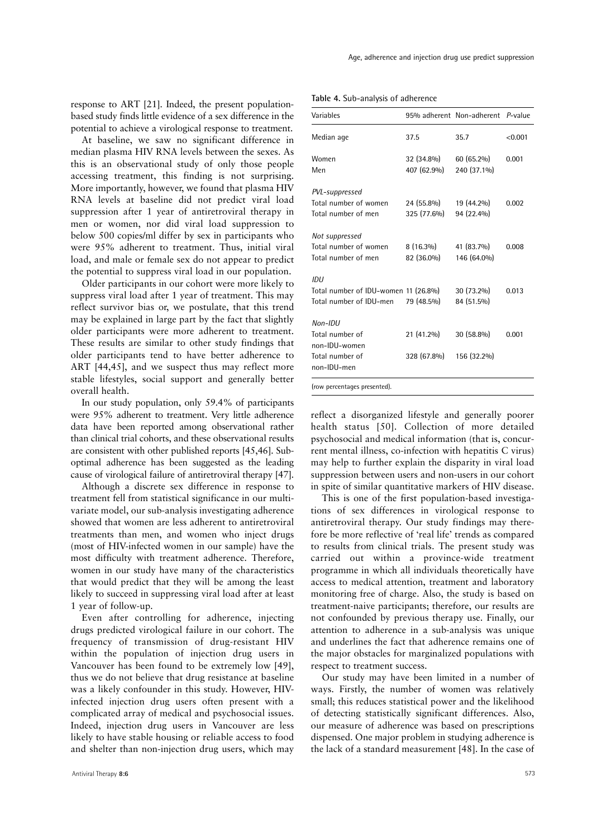response to ART [21]. Indeed, the present populationbased study finds little evidence of a sex difference in the potential to achieve a virological response to treatment.

At baseline, we saw no significant difference in median plasma HIV RNA levels between the sexes. As this is an observational study of only those people accessing treatment, this finding is not surprising. More importantly, however, we found that plasma HIV RNA levels at baseline did not predict viral load suppression after 1 year of antiretroviral therapy in men or women, nor did viral load suppression to below 500 copies/ml differ by sex in participants who were 95% adherent to treatment. Thus, initial viral load, and male or female sex do not appear to predict the potential to suppress viral load in our population.

Older participants in our cohort were more likely to suppress viral load after 1 year of treatment. This may reflect survivor bias or, we postulate, that this trend may be explained in large part by the fact that slightly older participants were more adherent to treatment. These results are similar to other study findings that older participants tend to have better adherence to ART [44,45], and we suspect thus may reflect more stable lifestyles, social support and generally better overall health.

In our study population, only 59.4% of participants were 95% adherent to treatment. Very little adherence data have been reported among observational rather than clinical trial cohorts, and these observational results are consistent with other published reports [45,46]. Suboptimal adherence has been suggested as the leading cause of virological failure of antiretroviral therapy [47].

Although a discrete sex difference in response to treatment fell from statistical significance in our multivariate model, our sub-analysis investigating adherence showed that women are less adherent to antiretroviral treatments than men, and women who inject drugs (most of HIV-infected women in our sample) have the most difficulty with treatment adherence. Therefore, women in our study have many of the characteristics that would predict that they will be among the least likely to succeed in suppressing viral load after at least 1 year of follow-up.

Even after controlling for adherence, injecting drugs predicted virological failure in our cohort. The frequency of transmission of drug-resistant HIV within the population of injection drug users in Vancouver has been found to be extremely low [49], thus we do not believe that drug resistance at baseline was a likely confounder in this study. However, HIVinfected injection drug users often present with a complicated array of medical and psychosocial issues. Indeed, injection drug users in Vancouver are less likely to have stable housing or reliable access to food and shelter than non-injection drug users, which may

**Table 4.** Sub-analysis of adherence

| Variables                                                                       |                           | 95% adherent Non-adherent P-value |         |
|---------------------------------------------------------------------------------|---------------------------|-----------------------------------|---------|
| Median age                                                                      | 37.5                      | 35.7                              | < 0.001 |
| Women<br>Men                                                                    | 32 (34.8%)<br>407 (62.9%) | 60 (65.2%)<br>240 (37.1%)         | 0.001   |
| PVL-suppressed<br>Total number of women<br>Total number of men                  | 24 (55.8%)<br>325 (77.6%) | 19 (44.2%)<br>94 (22.4%)          | 0.002   |
| Not suppressed<br>Total number of women<br>Total number of men                  | $8(16.3\%)$<br>82 (36.0%) | 41 (83.7%)<br>146 (64.0%)         | 0.008   |
| IDU<br>Total number of IDU-women 11 (26.8%)<br>Total number of IDU-men          | 79 (48.5%)                | 30 (73.2%)<br>84 (51.5%)          | 0.013   |
| $Non-IDU$<br>Total number of<br>non-IDU-women<br>Total number of<br>non-IDU-men | 21 (41.2%)<br>328 (67.8%) | 30 (58.8%)<br>156 (32.2%)         | 0.001   |

(row percentages presented).

reflect a disorganized lifestyle and generally poorer health status [50]. Collection of more detailed psychosocial and medical information (that is, concurrent mental illness, co-infection with hepatitis C virus) may help to further explain the disparity in viral load suppression between users and non-users in our cohort in spite of similar quantitative markers of HIV disease.

This is one of the first population-based investigations of sex differences in virological response to antiretroviral therapy. Our study findings may therefore be more reflective of 'real life' trends as compared to results from clinical trials. The present study was carried out within a province-wide treatment programme in which all individuals theoretically have access to medical attention, treatment and laboratory monitoring free of charge. Also, the study is based on treatment-naive participants; therefore, our results are not confounded by previous therapy use. Finally, our attention to adherence in a sub-analysis was unique and underlines the fact that adherence remains one of the major obstacles for marginalized populations with respect to treatment success.

Our study may have been limited in a number of ways. Firstly, the number of women was relatively small; this reduces statistical power and the likelihood of detecting statistically significant differences. Also, our measure of adherence was based on prescriptions dispensed. One major problem in studying adherence is the lack of a standard measurement [48]. In the case of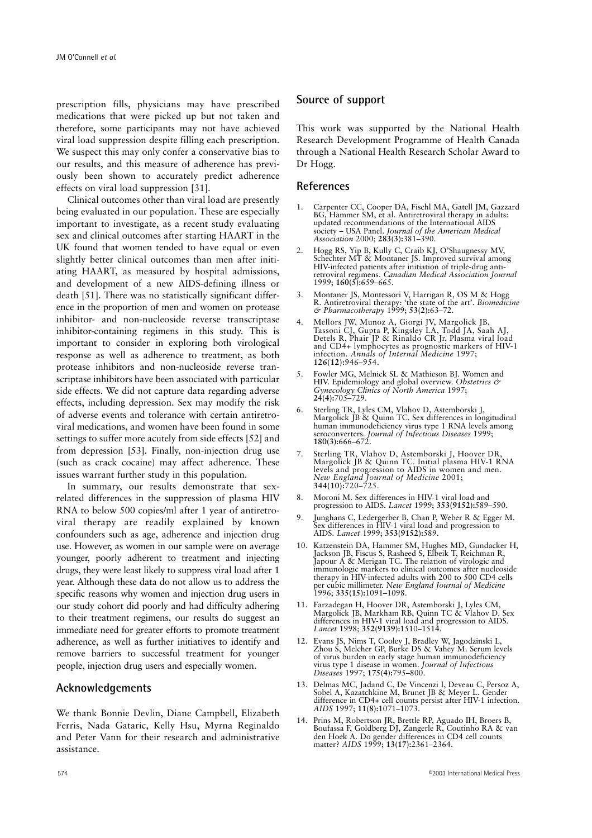prescription fills, physicians may have prescribed medications that were picked up but not taken and therefore, some participants may not have achieved viral load suppression despite filling each prescription. We suspect this may only confer a conservative bias to our results, and this measure of adherence has previously been shown to accurately predict adherence effects on viral load suppression [31].

Clinical outcomes other than viral load are presently being evaluated in our population. These are especially important to investigate, as a recent study evaluating sex and clinical outcomes after starting HAART in the UK found that women tended to have equal or even slightly better clinical outcomes than men after initiating HAART, as measured by hospital admissions, and development of a new AIDS-defining illness or death [51]. There was no statistically significant difference in the proportion of men and women on protease inhibitor- and non-nucleoside reverse transcriptase inhibitor-containing regimens in this study. This is important to consider in exploring both virological response as well as adherence to treatment, as both protease inhibitors and non-nucleoside reverse transcriptase inhibitors have been associated with particular side effects. We did not capture data regarding adverse effects, including depression. Sex may modify the risk of adverse events and tolerance with certain antiretroviral medications, and women have been found in some settings to suffer more acutely from side effects [52] and from depression [53]. Finally, non-injection drug use (such as crack cocaine) may affect adherence. These issues warrant further study in this population.

In summary, our results demonstrate that sexrelated differences in the suppression of plasma HIV RNA to below 500 copies/ml after 1 year of antiretroviral therapy are readily explained by known confounders such as age, adherence and injection drug use. However, as women in our sample were on average younger, poorly adherent to treatment and injecting drugs, they were least likely to suppress viral load after 1 year. Although these data do not allow us to address the specific reasons why women and injection drug users in our study cohort did poorly and had difficulty adhering to their treatment regimens, our results do suggest an immediate need for greater efforts to promote treatment adherence, as well as further initiatives to identify and remove barriers to successful treatment for younger people, injection drug users and especially women.

## **Acknowledgements**

We thank Bonnie Devlin, Diane Campbell, Elizabeth Ferris, Nada Gataric, Kelly Hsu, Myrna Reginaldo and Peter Vann for their research and administrative assistance.

## **Source of support**

This work was supported by the National Health Research Development Programme of Health Canada through a National Health Research Scholar Award to Dr Hogg.

### **References**

- 1. Carpenter CC, Cooper DA, Fischl MA, Gatell JM, Gazzard BG, Hammer SM, et al. Antiretroviral therapy in adults: updated recommendations of the International AIDS society – USA Panel. *Journal of the American Medical Association* 2000; **283(3):**381–390.
- 2. Hogg RS, Yip B, Kully C, Craib KJ, O'Shaugnessy MV, Schechter MT & Montaner JS. Improved survival among HIV-infected patients after initiation of triple-drug antiretroviral regimens. *Canadian Medical Association Journal* 1999; **160(5):**659–665.
- 3. Montaner JS, Montessori V, Harrigan R, OS M & Hogg R. Antiretroviral therapy: 'the state of the art'. *Biomedicine & Pharmacotherapy* 1999; **53(2):**63–72.
- 4. Mellors JW, Munoz A, Giorgi JV, Margolick JB, Tassoni CJ, Gupta P, Kingsley LA, Todd JA, Saah AJ, Detels R, Phair JP & Rinaldo CR Jr. Plasma viral load and CD4+ lymphocytes as prognostic markers of HIV-1 infection. *Annals of Internal Medicine* 1997; **126(12):**946–954.
- 5. Fowler MG, Melnick SL & Mathieson BJ. Women and HIV. Epidemiology and global overview. *Obstetrics & Gynecology Clinics of North America* 1997; **24(4):**705–729.
- 6. Sterling TR, Lyles CM, Vlahov D, Astemborski J, Margolick JB & Quinn TC. Sex differences in longitudinal human immunodeficiency virus type 1 RNA levels among seroconverters. *Journal of Infectious Diseases* 1999; **180(3):**666–672.
- 7. Sterling TR, Vlahov D, Astemborski J, Hoover DR, Margolick JB & Quinn TC. Initial plasma HIV-1 RNA levels and progression to AIDS in women and men. *New England Journal of Medicine* 2001; **344(10):**720–725.
- 8. Moroni M. Sex differences in HIV-1 viral load and progression to AIDS. *Lancet* 1999; **353(9152):**589–590.
- 9. Junghans C, Ledergerber B, Chan P, Weber R & Egger M. Sex differences in HIV-1 viral load and progression to AIDS. *Lancet* 1999; **353(9152):**589.
- 10. Katzenstein DA, Hammer SM, Hughes MD, Gundacker H, Jackson JB, Fiscus S, Rasheed S, Elbeik T, Reichman R, Japour A & Merigan TC. The relation of virologic and immunologic markers to clinical outcomes after nucleoside therapy in HIV-infected adults with 200 to 500 CD4 cells per cubic millimeter. *New England Journal of Medicine* 1996; **335(15):**1091–1098.
- 11. Farzadegan H, Hoover DR, Astemborski J, Lyles CM, Margolick JB, Markham RB, Quinn TC & Vlahov D. Sex differences in HIV-1 viral load and progression to AIDS. *Lancet* 1998; **352(9139):**1510–1514.
- 12. Evans JS, Nims T, Cooley J, Bradley W, Jagodzinski L, Zhou S, Melcher GP, Burke DS & Vahey M. Serum levels of virus burden in early stage human immunodeficiency virus type 1 disease in women. *Journal of Infectious Diseases* 1997; **175(4):**795–800.
- 13. Delmas MC, Jadand C, De Vincenzi I, Deveau C, Persoz A, Sobel A, Kazatchkine M, Brunet JB & Meyer L. Gender difference in CD4+ cell counts persist after HIV-1 infection. *AIDS* 1997; **11(8):**1071–1073.
- 14. Prins M, Robertson JR, Brettle RP, Aguado IH, Broers B, Boufassa F, Goldberg DJ, Zangerle R, Coutinho RA & van den Hoek A. Do gender differences in CD4 cell counts matter? *AIDS* 1999; **13(17):**2361–2364.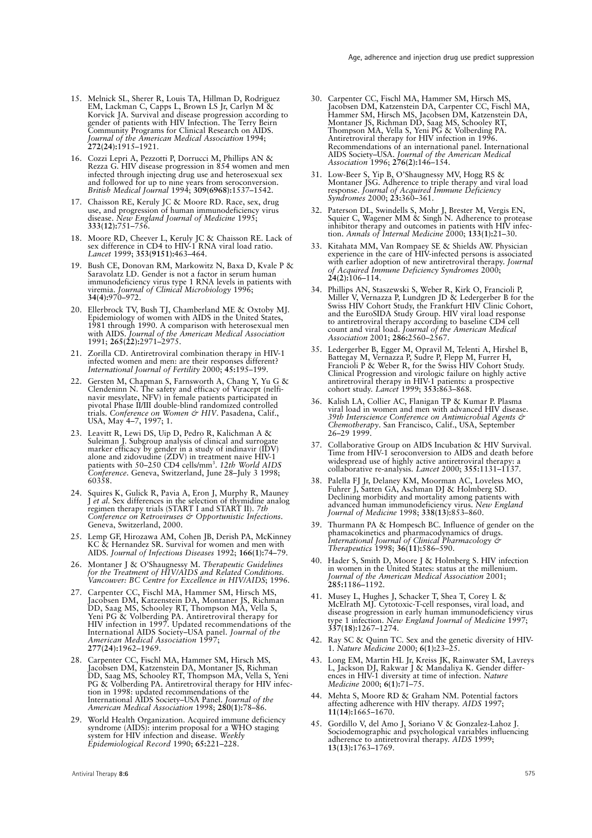- 15. Melnick SL, Sherer R, Louis TA, Hillman D, Rodriguez EM, Lackman C, Capps L, Brown LS Jr, Carlyn M & Korvick JA. Survival and disease progression according to gender of patients with HIV Infection. The Terry Beirn Community Programs for Clinical Research on AIDS. *Journal of the American Medical Association* 1994; **272(24):**1915–1921.
- 16. Cozzi Lepri A, Pezzotti P, Dorrucci M, Phillips AN & Rezza G. HIV disease progression in 854 women and men infected through injecting drug use and heterosexual sex and followed for up to nine years from seroconversion. *British Medical Journal* 1994; **309(6968):**1537–1542.
- 17. Chaisson RE, Keruly JC & Moore RD. Race, sex, drug use, and progression of human immunodeficiency virus disease. *New England Journal of Medicine* 1995; **333(12):**751–756.
- 18. Moore RD, Cheever L, Keruly JC & Chaisson RE. Lack of sex difference in CD4 to HIV-1 RNA viral load ratio. *Lancet* 1999; **353(9151):**463–464.
- 19. Bush CE, Donovan RM, Markowitz N, Baxa D, Kvale P & Saravolatz LD. Gender is not a factor in serum human immunodeficiency virus type 1 RNA levels in patients with viremia. *Journal of Clinical Microbiology* 1996; **34(4):**970–972.
- 20. Ellerbrock TV, Bush TJ, Chamberland ME & Oxtoby MJ. Epidemiology of women with AIDS in the United States, 1981 through 1990. A comparison with heterosexual men with AIDS. *Journal of the American Medical Association* 1991; **265(22):**2971–2975.
- 21. Zorilla CD. Antiretroviral combination therapy in HIV-1 infected women and men: are their responses different? *International Journal of Fertility* 2000; **45:**195–199.
- 22. Gersten M, Chapman S, Farnsworth A, Chang Y, Yu G & Clendeninn N. The safety and efficacy of Viracept (nelfinavir mesylate, NFV) in female patients participated in pivotal Phase II/III double-blind randomized controlled trials. *Conference on Women & HIV*. Pasadena, Calif., USA, May 4–7, 1997; 1.
- 23. Leavitt R, Lewi DS, Uip D, Pedro R, Kalichman A & Suleiman J. Subgroup analysis of clinical and surrogate marker efficacy by gender in a study of indinavir (IDV) alone and zidovudine (ZDV) in treatment naive HIV-1 patients with 50–250 CD4 cells/mm3 . *12th World AIDS Conference*. Geneva, Switzerland, June 28–July 3 1998; 60358.
- 24. Squires K, Gulick R, Pavia A, Eron J, Murphy R, Mauney J *et al.* Sex differences in the selection of thymidine analog regimen therapy trials (START I and START II). *7th Conference on Retroviruses & Opportunistic Infections*. Geneva, Switzerland, 2000.
- 25. Lemp GF, Hirozawa AM, Cohen JB, Derish PA, McKinney KC & Hernandez SR. Survival for women and men with AIDS. *Journal of Infectious Diseases* 1992; **166(1):**74–79.
- 26. Montaner J & O'Shaugnessy M. *Therapeutic Guidelines for the Treatment of HIV/AIDS and Related Conditions. Vancouver: BC Centre for Excellence in HIV/AIDS*; 1996.
- 27. Carpenter CC, Fischl MA, Hammer SM, Hirsch MS, Jacobsen DM, Katzenstein DA, Montaner JS, Richman DD, Saag MS, Schooley RT, Thompson MA, Vella S, Yeni PG & Volberding PA. Antiretroviral therapy for HIV infection in 1997. Updated recommendations of the International AIDS Society–USA panel. *Journal of the American Medical Association* 1997; **277(24):**1962–1969.
- 28. Carpenter CC, Fischl MA, Hammer SM, Hirsch MS, Jacobsen DM, Katzenstein DA, Montaner JS, Richman DD, Saag MS, Schooley RT, Thompson MA, Vella S, Yeni PG & Volberding PA. Antiretroviral therapy for HIV infection in 1998: updated recommendations of the International AIDS Society–USA Panel. *Journal of the American Medical Association* 1998; **280(1):**78–86.
- 29. World Health Organization. Acquired immune deficiency syndrome (AIDS): interim proposal for a WHO staging system for HIV infection and disease. *Weekly Epidemiological Record* 1990; **65:**221–228.
- 30. Carpenter CC, Fischl MA, Hammer SM, Hirsch MS, Jacobsen DM, Katzenstein DA, Carpenter CC, Fischl MA, Hammer SM, Hirsch MS, Jacobsen DM, Katzenstein DA, Montaner JS, Richman DD, Saag MS, Schooley RT, Thompson MA, Vella S, Yeni PG & Volberding PA. Antiretroviral therapy for HIV infection in 1996. Recommendations of an international panel. International AIDS Society–USA. *Journal of the American Medical Association* 1996; **276(2):**146–154.
- 31. Low-Beer S, Yip B, O'Shaugnessy MV, Hogg RS & Montaner JSG. Adherence to triple therapy and viral load response. *Journal of Acquired Immune Deficiency Syndromes* 2000; **23:**360–361.
- 32. Paterson DL, Swindells S, Mohr J, Brester M, Vergis EN, Squier C, Wagener MM & Singh N. Adherence to protease inhibitor therapy and outcomes in patients with HIV infection. *Annals of Internal Medicine* 2000; **133(1):**21–30.
- 33. Kitahata MM, Van Rompaey SE & Shields AW. Physician experience in the care of HIV-infected persons is associated with earlier adoption of new antiretroviral therapy. *Journal of Acquired Immune Deficiency Syndromes* 2000; **24(2):**106–114.
- 34. Phillips AN, Staszewski S, Weber R, Kirk O, Francioli P, Miller V, Vernazza P, Lundgren JD & Ledergerber B for the Swiss HIV Cohort Study, the Frankfurt HIV Clinic Cohort, and the EuroSIDA Study Group. HIV viral load response to antiretroviral therapy according to baseline CD4 cell count and viral load. *Journal of the American Medical Association* 2001; **286:**2560–2567.
- 35. Ledergerber B, Egger M, Opravil M, Telenti A, Hirshel B, Battegay M, Vernazza P, Sudre P, Flepp M, Furrer H, Francioli P & Weber R, for the Swiss HIV Cohort Study. Clinical Progression and virologic failure on highly active antiretroviral therapy in HIV-1 patients: a prospective cohort study. *Lancet* 1999; **353:**863–868.
- 36. Kalish LA, Collier AC, Flanigan TP & Kumar P. Plasma viral load in women and men with advanced HIV disease. *39th Interscience Conference on Antimicrobial Agents & Chemotherapy*. San Francisco, Calif., USA, September 26–29 1999.
- 37. Collaborative Group on AIDS Incubation & HIV Survival. Time from HIV-1 seroconversion to AIDS and death before widespread use of highly active antiretroviral therapy: a collaborative re-analysis. *Lancet* 2000; **355:**1131–1137.
- 38. Palella FJ Jr, Delaney KM, Moorman AC, Loveless MO, Fuhrer J, Satten GA, Aschman DJ & Holmberg SD. Declining morbidity and mortality among patients with advanced human immunodeficiency virus. *New England Journal of Medicine* 1998; **338(13):**853–860.
- 39. Thurmann PA & Hompesch BC. Influence of gender on the phamacokinetics and pharmacodynamics of drugs. *International Journal of Clinical Pharmacology & Therapeutics* 1998; **36(11):**586–590.
- 40. Hader S, Smith D, Moore J & Holmberg S. HIV infection in women in the United States: status at the millenium. *Journal of the American Medical Association* 2001; **285:**1186–1192.
- 41. Musey L, Hughes J, Schacker T, Shea T, Corey L & McElrath MJ. Cytotoxic-T-cell responses, viral load, and disease progression in early human immunodeficiency virus type 1 infection. *New England Journal of Medicine* 1997; **337(18):**1267–1274.
- 42. Ray SC & Quinn TC. Sex and the genetic diversity of HIV-1. *Nature Medicine* 2000; **6(1):**23–25.
- 43. Long EM, Martin HL Jr, Kreiss JK, Rainwater SM, Lavreys L, Jackson DJ, Rakwar J & Mandaliya K. Gender differences in HIV-1 diversity at time of infection. *Nature Medicine* 2000; **6(1):**71–75.
- 44. Mehta S, Moore RD & Graham NM. Potential factors affecting adherence with HIV therapy. *AIDS* 1997; **11(14):**1665–1670.
- 45. Gordillo V, del Amo J, Soriano V & Gonzalez-Lahoz J. Sociodemographic and psychological variables influencing adherence to antiretroviral therapy. *AIDS* 1999; **13(13):**1763–1769.